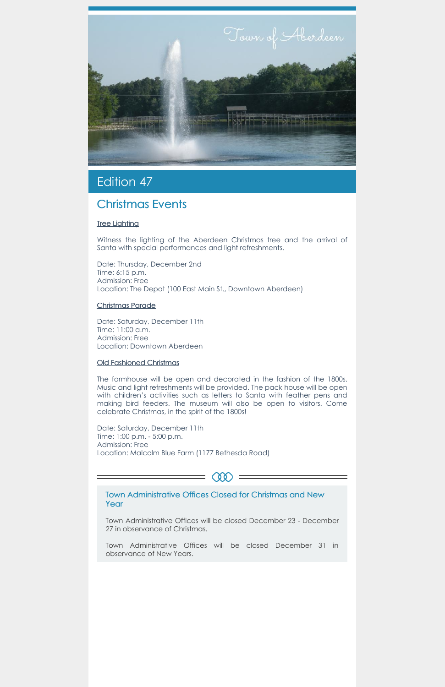

# Edition 47

## Christmas Events

### **Tree Lighting**

Witness the lighting of the Aberdeen Christmas tree and the arrival of Santa with special performances and light refreshments.

Date: Thursday, December 2nd Time: 6:15 p.m. Admission: Free Location: The Depot (100 East Main St., Downtown Aberdeen)

#### Christmas Parade

Date: Saturday, December 11th Time: 11:00 a.m. Admission: Free Location: Downtown Aberdeen

#### Old Fashioned Christmas

The farmhouse will be open and decorated in the fashion of the 1800s. Music and light refreshments will be provided. The pack house will be open with children's activities such as letters to Santa with feather pens and making bird feeders. The museum will also be open to visitors. Come celebrate Christmas, in the spirit of the 1800s!

Date: Saturday, December 11th Time: 1:00 p.m. - 5:00 p.m. Admission: Free Location: Malcolm Blue Farm (1177 Bethesda Road)

Town Administrative Offices Closed for Christmas and New Year

QO.

Town Administrative Offices will be closed December 23 - December 27 in observance of Christmas.

Town Administrative Offices will be closed December 31 in observance of New Years.